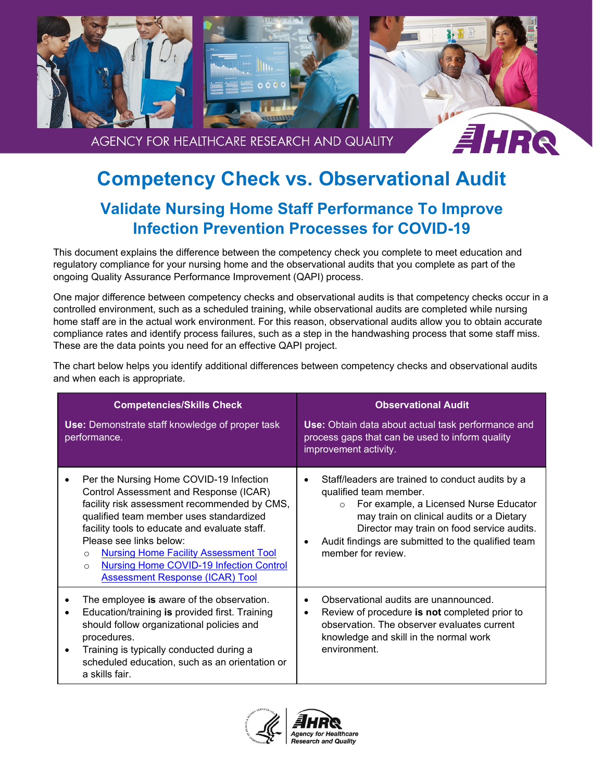

## **Competency Check vs. Observational Audit**

## **Validate Nursing Home Staff Performance To Improve Infection Prevention Processes for COVID-19**

This document explains the difference between the competency check you complete to meet education and regulatory compliance for your nursing home and the observational audits that you complete as part of the ongoing Quality Assurance Performance Improvement (QAPI) process.

One major difference between competency checks and observational audits is that competency checks occur in a controlled environment, such as a scheduled training, while observational audits are completed while nursing home staff are in the actual work environment. For this reason, observational audits allow you to obtain accurate compliance rates and identify process failures, such as a step in the handwashing process that some staff miss. These are the data points you need for an effective QAPI project.

The chart below helps you identify additional differences between competency checks and observational audits and when each is appropriate.

| <b>Competencies/Skills Check</b><br><b>Use:</b> Demonstrate staff knowledge of proper task<br>performance.                                                                                                                                                                                                                                                                                                                   | <b>Observational Audit</b><br>Use: Obtain data about actual task performance and<br>process gaps that can be used to inform quality<br>improvement activity.                                                                                                                                           |
|------------------------------------------------------------------------------------------------------------------------------------------------------------------------------------------------------------------------------------------------------------------------------------------------------------------------------------------------------------------------------------------------------------------------------|--------------------------------------------------------------------------------------------------------------------------------------------------------------------------------------------------------------------------------------------------------------------------------------------------------|
| Per the Nursing Home COVID-19 Infection<br>Control Assessment and Response (ICAR)<br>facility risk assessment recommended by CMS,<br>qualified team member uses standardized<br>facility tools to educate and evaluate staff.<br>Please see links below:<br><b>Nursing Home Facility Assessment Tool</b><br>$\Omega$<br><b>Nursing Home COVID-19 Infection Control</b><br>$\Omega$<br><b>Assessment Response (ICAR) Tool</b> | Staff/leaders are trained to conduct audits by a<br>qualified team member.<br>For example, a Licensed Nurse Educator<br>$\circ$<br>may train on clinical audits or a Dietary<br>Director may train on food service audits.<br>Audit findings are submitted to the qualified team<br>member for review. |
| The employee is aware of the observation.<br>Education/training is provided first. Training<br>$\bullet$<br>should follow organizational policies and<br>procedures.<br>Training is typically conducted during a<br>$\bullet$<br>scheduled education, such as an orientation or<br>a skills fair.                                                                                                                            | Observational audits are unannounced.<br>$\bullet$<br>Review of procedure is not completed prior to<br>$\bullet$<br>observation. The observer evaluates current<br>knowledge and skill in the normal work<br>environment.                                                                              |